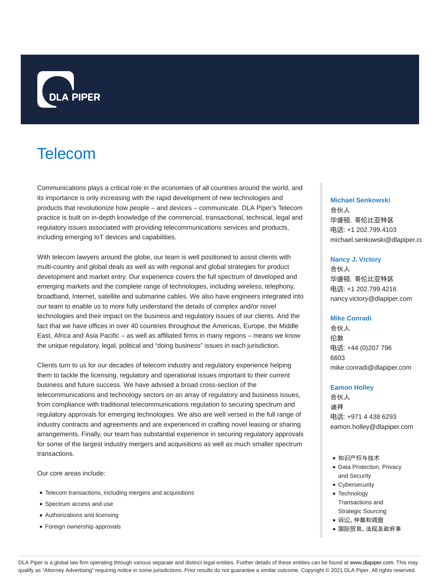

# Telecom

Communications plays a critical role in the economies of all countries around the world, and its importance is only increasing with the rapid development of new technologies and products that revolutionize how people – and devices – communicate. DLA Piper's Telecom practice is built on in-depth knowledge of the commercial, transactional, technical, legal and regulatory issues associated with providing telecommunications services and products, including emerging IoT devices and capabilities.

With telecom lawyers around the globe, our team is well positioned to assist clients with multi-country and global deals as well as with regional and global strategies for product development and market entry. Our experience covers the full spectrum of developed and emerging markets and the complete range of technologies, including wireless, telephony, broadband, Internet, satellite and submarine cables. We also have engineers integrated into our team to enable us to more fully understand the details of complex and/or novel technologies and their impact on the business and regulatory issues of our clients. And the fact that we have offices in over 40 countries throughout the Americas, Europe, the Middle East, Africa and Asia Pacific – as well as affiliated firms in many regions – means we know the unique regulatory, legal, political and "doing business" issues in each jurisdiction.

Clients turn to us for our decades of telecom industry and regulatory experience helping them to tackle the licensing, regulatory and operational issues important to their current business and future success. We have advised a broad cross-section of the telecommunications and technology sectors on an array of regulatory and business issues, from compliance with traditional telecommunications regulation to securing spectrum and regulatory approvals for emerging technologies. We also are well versed in the full range of industry contracts and agreements and are experienced in crafting novel leasing or sharing arrangements. Finally, our team has substantial experience in securing regulatory approvals for some of the largest industry mergers and acquisitions as well as much smaller spectrum transactions.

Our core areas include:

- Telecom transactions, including mergers and acquisitions
- Spectrum access and use
- Authorizations and licensing
- Foreign ownership approvals

### **Michael Senkowski**

合伙人 华盛顿,哥伦比亚特区 电话: +1 202.799.4103 michael.senkowski@dlapiper.co

#### **Nancy J. Victory**

合伙人 华盛顿,哥伦比亚特区 电话: +1 202.799.4216 nancy.victory@dlapiper.com

#### **Mike Conradi**

合伙人 伦敦 电话: +44 (0)207 796 6603 mike.conradi@dlapiper.com

#### **Eamon Holley**

合伙人 迪拜 电话: +971 4 438 6293 eamon.holley@dlapiper.com

- 知识产权与技术
- Data Protection, Privacy and Security
- Cybersecurity
- Technology Transactions and Strategic Sourcing
- 诉讼、仲裁和调查
- 国际贸易、法规及政府事

DLA Piper is a global law firm operating through various separate and distinct legal entities. Further details of these entities can be found at www.dlapiper.com. This may qualify as "Attorney Advertising" requiring notice in some jurisdictions. Prior results do not guarantee a similar outcome. Copyright @ 2021 DLA Piper. All rights reserved.